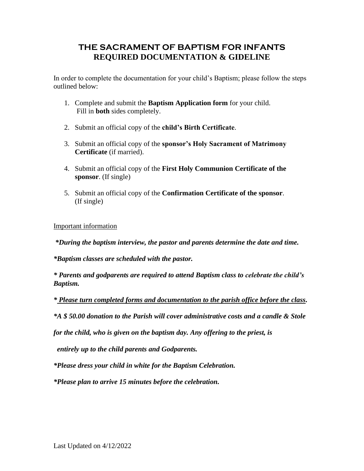## **THE SACRAMENT OF BAPTISM FOR INFANTS REQUIRED DOCUMENTATION & GIDELINE**

In order to complete the documentation for your child's Baptism; please follow the steps outlined below:

- 1. Complete and submit the **Baptism Application form** for your child. Fill in **both** sides completely.
- 2. Submit an official copy of the **child's Birth Certificate**.
- 3. Submit an official copy of the **sponsor's Holy Sacrament of Matrimony Certificate** (if married).
- 4. Submit an official copy of the **First Holy Communion Certificate of the sponsor**. (If single)
- 5. Submit an official copy of the **Confirmation Certificate of the sponsor**. (If single)

Important information

*\*During the baptism interview, the pastor and parents determine the date and time.*

*\*Baptism classes are scheduled with the pastor.*

*\* Parents and godparents are required to attend Baptism class to celebrate the child's Baptism.* 

*\* Please turn completed forms and documentation to the parish office before the class.*

*\*A \$ 50.00 donation to the Parish will cover administrative costs and a candle & Stole* 

*for the child, who is given on the baptism day. Any offering to the priest, is* 

 *entirely up to the child parents and Godparents.*

*\*Please dress your child in white for the Baptism Celebration.*

*\*Please plan to arrive 15 minutes before the celebration.*